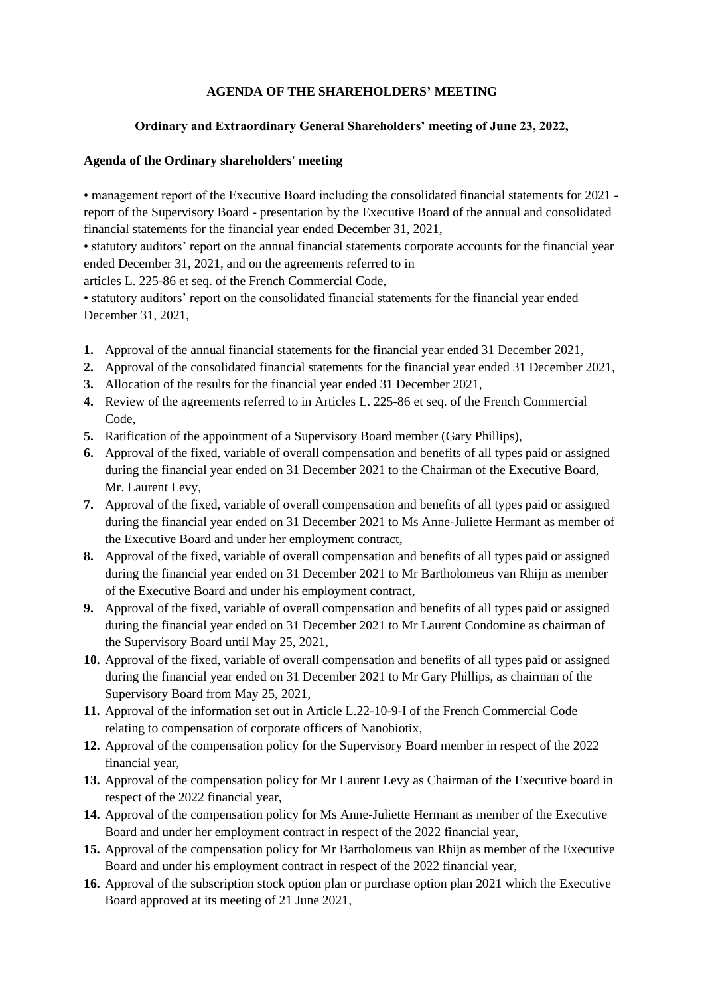# **AGENDA OF THE SHAREHOLDERS' MEETING**

# **Ordinary and Extraordinary General Shareholders' meeting of June 23, 2022,**

## **Agenda of the Ordinary shareholders' meeting**

• management report of the Executive Board including the consolidated financial statements for 2021 report of the Supervisory Board - presentation by the Executive Board of the annual and consolidated financial statements for the financial year ended December 31, 2021,

• statutory auditors' report on the annual financial statements corporate accounts for the financial year ended December 31, 2021, and on the agreements referred to in

articles L. 225-86 et seq. of the French Commercial Code,

• statutory auditors' report on the consolidated financial statements for the financial year ended December 31, 2021,

- **1.** Approval of the annual financial statements for the financial year ended 31 December 2021,
- **2.** Approval of the consolidated financial statements for the financial year ended 31 December 2021,
- **3.** Allocation of the results for the financial year ended 31 December 2021,
- **4.** Review of the agreements referred to in Articles L. 225-86 et seq. of the French Commercial Code,
- **5.** Ratification of the appointment of a Supervisory Board member (Gary Phillips),
- **6.** Approval of the fixed, variable of overall compensation and benefits of all types paid or assigned during the financial year ended on 31 December 2021 to the Chairman of the Executive Board, Mr. Laurent Levy,
- **7.** Approval of the fixed, variable of overall compensation and benefits of all types paid or assigned during the financial year ended on 31 December 2021 to Ms Anne-Juliette Hermant as member of the Executive Board and under her employment contract,
- **8.** Approval of the fixed, variable of overall compensation and benefits of all types paid or assigned during the financial year ended on 31 December 2021 to Mr Bartholomeus van Rhijn as member of the Executive Board and under his employment contract,
- **9.** Approval of the fixed, variable of overall compensation and benefits of all types paid or assigned during the financial year ended on 31 December 2021 to Mr Laurent Condomine as chairman of the Supervisory Board until May 25, 2021,
- **10.** Approval of the fixed, variable of overall compensation and benefits of all types paid or assigned during the financial year ended on 31 December 2021 to Mr Gary Phillips, as chairman of the Supervisory Board from May 25, 2021,
- **11.** Approval of the information set out in Article L.22-10-9-I of the French Commercial Code relating to compensation of corporate officers of Nanobiotix,
- **12.** Approval of the compensation policy for the Supervisory Board member in respect of the 2022 financial year,
- **13.** Approval of the compensation policy for Mr Laurent Levy as Chairman of the Executive board in respect of the 2022 financial year,
- **14.** Approval of the compensation policy for Ms Anne-Juliette Hermant as member of the Executive Board and under her employment contract in respect of the 2022 financial year,
- **15.** Approval of the compensation policy for Mr Bartholomeus van Rhijn as member of the Executive Board and under his employment contract in respect of the 2022 financial year,
- **16.** Approval of the subscription stock option plan or purchase option plan 2021 which the Executive Board approved at its meeting of 21 June 2021,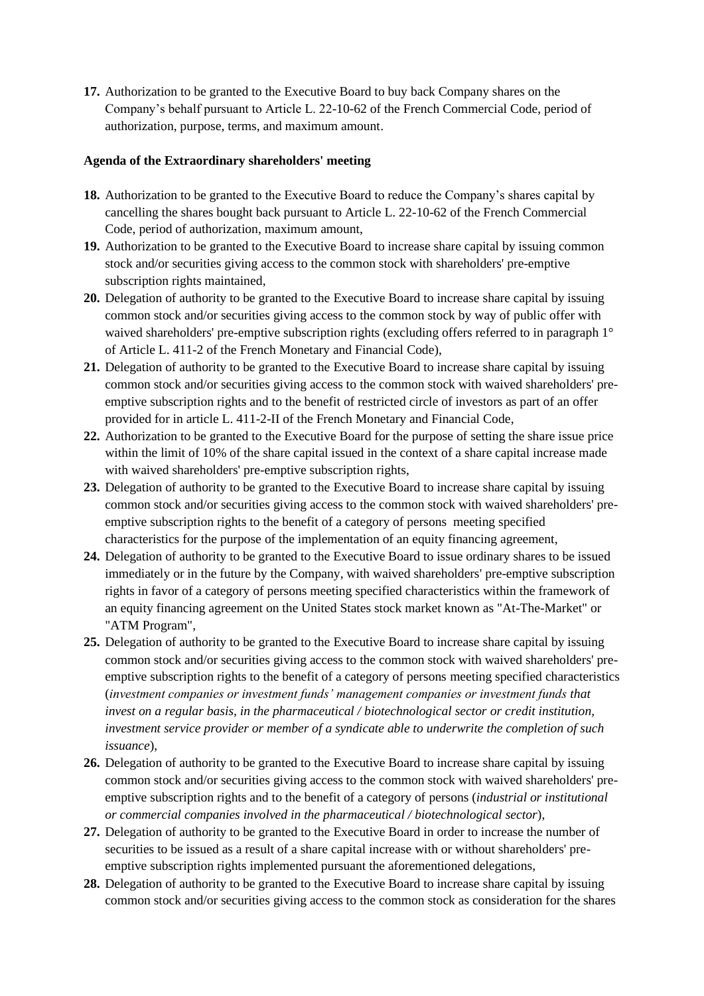**17.** Authorization to be granted to the Executive Board to buy back Company shares on the Company's behalf pursuant to Article L. 22-10-62 of the French Commercial Code, period of authorization, purpose, terms, and maximum amount.

### **Agenda of the Extraordinary shareholders' meeting**

- **18.** Authorization to be granted to the Executive Board to reduce the Company's shares capital by cancelling the shares bought back pursuant to Article L. 22-10-62 of the French Commercial Code, period of authorization, maximum amount,
- **19.** Authorization to be granted to the Executive Board to increase share capital by issuing common stock and/or securities giving access to the common stock with shareholders' pre-emptive subscription rights maintained.
- **20.** Delegation of authority to be granted to the Executive Board to increase share capital by issuing common stock and/or securities giving access to the common stock by way of public offer with waived shareholders' pre-emptive subscription rights (excluding offers referred to in paragraph 1<sup>o</sup> of Article L. 411-2 of the French Monetary and Financial Code),
- **21.** Delegation of authority to be granted to the Executive Board to increase share capital by issuing common stock and/or securities giving access to the common stock with waived shareholders' preemptive subscription rights and to the benefit of restricted circle of investors as part of an offer provided for in article L. 411-2-II of the French Monetary and Financial Code,
- **22.** Authorization to be granted to the Executive Board for the purpose of setting the share issue price within the limit of 10% of the share capital issued in the context of a share capital increase made with waived shareholders' pre-emptive subscription rights,
- **23.** Delegation of authority to be granted to the Executive Board to increase share capital by issuing common stock and/or securities giving access to the common stock with waived shareholders' preemptive subscription rights to the benefit of a category of persons meeting specified characteristics for the purpose of the implementation of an equity financing agreement,
- **24.** Delegation of authority to be granted to the Executive Board to issue ordinary shares to be issued immediately or in the future by the Company, with waived shareholders' pre-emptive subscription rights in favor of a category of persons meeting specified characteristics within the framework of an equity financing agreement on the United States stock market known as "At-The-Market" or "ATM Program",
- **25.** Delegation of authority to be granted to the Executive Board to increase share capital by issuing common stock and/or securities giving access to the common stock with waived shareholders' preemptive subscription rights to the benefit of a category of persons meeting specified characteristics (*investment companies or investment funds' management companies or investment funds that invest on a regular basis, in the pharmaceutical / biotechnological sector or credit institution, investment service provider or member of a syndicate able to underwrite the completion of such issuance*),
- **26.** Delegation of authority to be granted to the Executive Board to increase share capital by issuing common stock and/or securities giving access to the common stock with waived shareholders' preemptive subscription rights and to the benefit of a category of persons (*industrial or institutional or commercial companies involved in the pharmaceutical / biotechnological sector*),
- **27.** Delegation of authority to be granted to the Executive Board in order to increase the number of securities to be issued as a result of a share capital increase with or without shareholders' preemptive subscription rights implemented pursuant the aforementioned delegations,
- **28.** Delegation of authority to be granted to the Executive Board to increase share capital by issuing common stock and/or securities giving access to the common stock as consideration for the shares